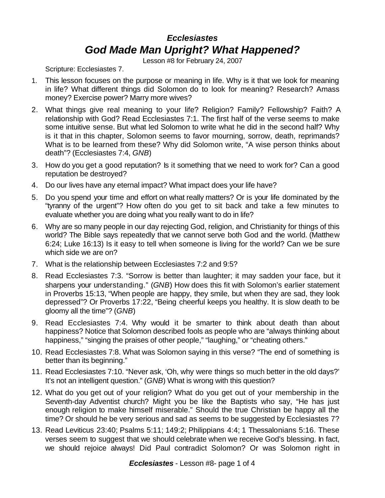## *Ecclesiastes God Made Man Upright? What Happened?*

Lesson #8 for February 24, 2007

Scripture: Ecclesiastes 7.

- 1. This lesson focuses on the purpose or meaning in life. Why is it that we look for meaning in life? What different things did Solomon do to look for meaning? Research? Amass money? Exercise power? Marry more wives?
- 2. What things give real meaning to your life? Religion? Family? Fellowship? Faith? A relationship with God? Read Ecclesiastes 7:1. The first half of the verse seems to make some intuitive sense. But what led Solomon to write what he did in the second half? Why is it that in this chapter, Solomon seems to favor mourning, sorrow, death, reprimands? What is to be learned from these? Why did Solomon write, "A wise person thinks about death"? (Ecclesiastes 7:4, *GNB*)
- 3. How do you get a good reputation? Is it something that we need to work for? Can a good reputation be destroyed?
- 4. Do our lives have any eternal impact? What impact does your life have?
- 5. Do you spend your time and effort on what really matters? Or is your life dominated by the "tyranny of the urgent"? How often do you get to sit back and take a few minutes to evaluate whether you are doing what you really want to do in life?
- 6. Why are so many people in our day rejecting God, religion, and Christianity for things of this world? The Bible says repeatedly that we cannot serve both God and the world. (Matthew 6:24; Luke 16:13) Is it easy to tell when someone is living for the world? Can we be sure which side we are on?
- 7. What is the relationship between Ecclesiastes 7:2 and 9:5?
- 8. Read Ecclesiastes 7:3. "Sorrow is better than laughter; it may sadden your face, but it sharpens your understanding." (*GNB*) How does this fit with Solomon's earlier statement in Proverbs 15:13, "When people are happy, they smile, but when they are sad, they look depressed"? Or Proverbs 17:22, "Being cheerful keeps you healthy. It is slow death to be gloomy all the time"? (*GNB*)
- 9. Read Ecclesiastes 7:4. Why would it be smarter to think about death than about happiness? Notice that Solomon described fools as people who are "always thinking about happiness," "singing the praises of other people," "laughing," or "cheating others."
- 10. Read Ecclesiastes 7:8. What was Solomon saying in this verse? "The end of something is better than its beginning."
- 11. Read Ecclesiastes 7:10. "Never ask, 'Oh, why were things so much better in the old days?' It's not an intelligent question." (*GNB*) What is wrong with this question?
- 12. What do you get out of your religion? What do you get out of your membership in the Seventh-day Adventist church? Might you be like the Baptists who say, "He has just enough religion to make himself miserable." Should the true Christian be happy all the time? Or should he be very serious and sad as seems to be suggested by Ecclesiastes 7?
- 13. Read Leviticus 23:40; Psalms 5:11; 149:2; Philippians 4:4; 1 Thessalonians 5:16. These verses seem to suggest that we should celebrate when we receive God's blessing. In fact, we should rejoice always! Did Paul contradict Solomon? Or was Solomon right in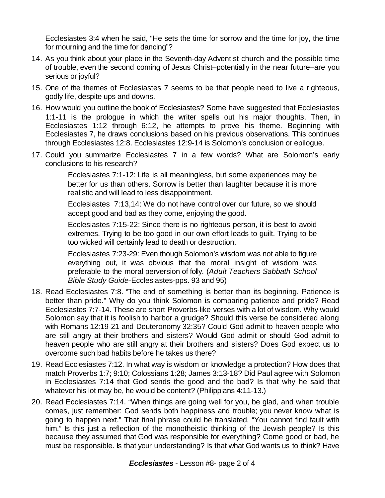Ecclesiastes 3:4 when he said, "He sets the time for sorrow and the time for joy, the time for mourning and the time for dancing"?

- 14. As you think about your place in the Seventh-day Adventist church and the possible time of trouble, even the second coming of Jesus Christ–potentially in the near future–are you serious or joyful?
- 15. One of the themes of Ecclesiastes 7 seems to be that people need to live a righteous, godly life, despite ups and downs.
- 16. How would you outline the book of Ecclesiastes? Some have suggested that Ecclesiastes 1:1-11 is the prologue in which the writer spells out his major thoughts. Then, in Ecclesiastes 1:12 through 6:12, he attempts to prove his theme. Beginning with Ecclesiastes 7, he draws conclusions based on his previous observations. This continues through Ecclesiastes 12:8. Ecclesiastes 12:9-14 is Solomon's conclusion or epilogue.
- 17. Could you summarize Ecclesiastes 7 in a few words? What are Solomon's early conclusions to his research?

Ecclesiastes 7:1-12: Life is all meaningless, but some experiences may be better for us than others. Sorrow is better than laughter because it is more realistic and will lead to less disappointment.

Ecclesiastes 7:13,14: We do not have control over our future, so we should accept good and bad as they come, enjoying the good.

Ecclesiastes 7:15-22: Since there is no righteous person, it is best to avoid extremes. Trying to be too good in our own effort leads to guilt. Trying to be too wicked will certainly lead to death or destruction.

Ecclesiastes 7:23-29: Even though Solomon's wisdom was not able to figure everything out, it was obvious that the moral insight of wisdom was preferable to the moral perversion of folly. (*Adult Teachers Sabbath School Bible Study Guide*-Ecclesiastes-pps. 93 and 95)

- 18. Read Ecclesiastes 7:8. "The end of something is better than its beginning. Patience is better than pride." Why do you think Solomon is comparing patience and pride? Read Ecclesiastes 7:7-14. These are short Proverbs-like verses with a lot of wisdom. Why would Solomon say that it is foolish to harbor a grudge? Should this verse be considered along with Romans 12:19-21 and Deuteronomy 32:35? Could God admit to heaven people who are still angry at their brothers and sisters? Would God admit or should God admit to heaven people who are still angry at their brothers and sisters? Does God expect us to overcome such bad habits before he takes us there?
- 19. Read Ecclesiastes 7:12. In what way is wisdom or knowledge a protection? How does that match Proverbs 1:7; 9:10; Colossians 1:28; James 3:13-18? Did Paul agree with Solomon in Ecclesiastes 7:14 that God sends the good and the bad? Is that why he said that whatever his lot may be, he would be content? (Philippians 4:11-13.)
- 20. Read Ecclesiastes 7:14. "When things are going well for you, be glad, and when trouble comes, just remember: God sends both happiness and trouble; you never know what is going to happen next." That final phrase could be translated, "You cannot find fault with him." Is this just a reflection of the monotheistic thinking of the Jewish people? Is this because they assumed that God was responsible for everything? Come good or bad, he must be responsible. Is that your understanding? Is that what God wants us to think? Have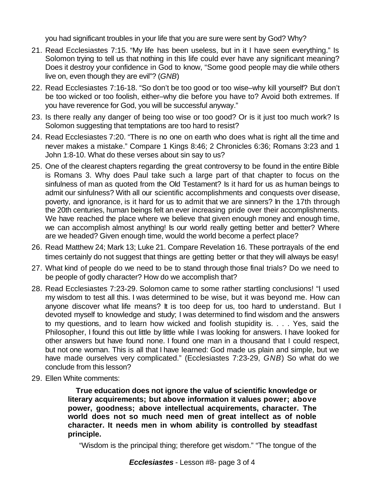you had significant troubles in your life that you are sure were sent by God? Why?

- 21. Read Ecclesiastes 7:15. "My life has been useless, but in it I have seen everything." Is Solomon trying to tell us that nothing in this life could ever have any significant meaning? Does it destroy your confidence in God to know, "Some good people may die while others live on, even though they are evil"? (*GNB*)
- 22. Read Ecclesiastes 7:16-18. "So don't be too good or too wise–why kill yourself? But don't be too wicked or too foolish, either–why die before you have to? Avoid both extremes. If you have reverence for God, you will be successful anyway."
- 23. Is there really any danger of being too wise or too good? Or is it just too much work? Is Solomon suggesting that temptations are too hard to resist?
- 24. Read Ecclesiastes 7:20. "There is no one on earth who does what is right all the time and never makes a mistake." Compare 1 Kings 8:46; 2 Chronicles 6:36; Romans 3:23 and 1 John 1:8-10. What do these verses about sin say to us?
- 25. One of the clearest chapters regarding the great controversy to be found in the entire Bible is Romans 3. Why does Paul take such a large part of that chapter to focus on the sinfulness of man as quoted from the Old Testament? Is it hard for us as human beings to admit our sinfulness? With all our scientific accomplishments and conquests over disease, poverty, and ignorance, is it hard for us to admit that we are sinners? In the 17th through the 20th centuries, human beings felt an ever increasing pride over their accomplishments. We have reached the place where we believe that given enough money and enough time, we can accomplish almost anything! Is our world really getting better and better? Where are we headed? Given enough time, would the world become a perfect place?
- 26. Read Matthew 24; Mark 13; Luke 21. Compare Revelation 16. These portrayals of the end times certainly do not suggest that things are getting better or that they will always be easy!
- 27. What kind of people do we need to be to stand through those final trials? Do we need to be people of godly character? How do we accomplish that?
- 28. Read Ecclesiastes 7:23-29. Solomon came to some rather startling conclusions! "I used my wisdom to test all this. I was determined to be wise, but it was beyond me. How can anyone discover what life means? It is too deep for us, too hard to understand. But I devoted myself to knowledge and study; I was determined to find wisdom and the answers to my questions, and to learn how wicked and foolish stupidity is. . . . Yes, said the Philosopher, I found this out little by little while I was looking for answers. I have looked for other answers but have found none. I found one man in a thousand that I could respect, but not one woman. This is all that I have learned: God made us plain and simple, but we have made ourselves very complicated." (Ecclesiastes 7:23-29, *GNB*) So what do we conclude from this lesson?
- 29. Ellen White comments:

 **True education does not ignore the value of scientific knowledge or literary acquirements; but above information it values power; above power, goodness; above intellectual acquirements, character. The world does not so much need men of great intellect as of noble character. It needs men in whom ability is controlled by steadfast principle.**

"Wisdom is the principal thing; therefore get wisdom." "The tongue of the